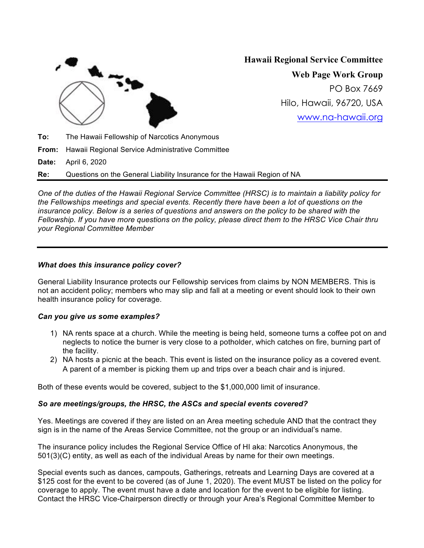

# **Hawaii Regional Service Committee**

**Web Page Work Group** PO Box 7669 Hilo, Hawaii, 96720, USA www.na-hawaii.org

**To:** The Hawaii Fellowship of Narcotics Anonymous **From:** Hawaii Regional Service Administrative Committee **Date:** April 6, 2020

**Re:** Questions on the General Liability Insurance for the Hawaii Region of NA

*One of the duties of the Hawaii Regional Service Committee (HRSC) is to maintain a liability policy for the Fellowships meetings and special events. Recently there have been a lot of questions on the insurance policy. Below is a series of questions and answers on the policy to be shared with the Fellowship. If you have more questions on the policy, please direct them to the HRSC Vice Chair thru your Regional Committee Member*

# *What does this insurance policy cover?*

General Liability Insurance protects our Fellowship services from claims by NON MEMBERS. This is not an accident policy; members who may slip and fall at a meeting or event should look to their own health insurance policy for coverage.

#### *Can you give us some examples?*

- 1) NA rents space at a church. While the meeting is being held, someone turns a coffee pot on and neglects to notice the burner is very close to a potholder, which catches on fire, burning part of the facility.
- 2) NA hosts a picnic at the beach. This event is listed on the insurance policy as a covered event. A parent of a member is picking them up and trips over a beach chair and is injured.

Both of these events would be covered, subject to the \$1,000,000 limit of insurance.

#### *So are meetings/groups, the HRSC, the ASCs and special events covered?*

Yes. Meetings are covered if they are listed on an Area meeting schedule AND that the contract they sign is in the name of the Areas Service Committee, not the group or an individual's name.

The insurance policy includes the Regional Service Office of HI aka: Narcotics Anonymous, the 501(3)(C) entity, as well as each of the individual Areas by name for their own meetings.

Special events such as dances, campouts, Gatherings, retreats and Learning Days are covered at a \$125 cost for the event to be covered (as of June 1, 2020). The event MUST be listed on the policy for coverage to apply. The event must have a date and location for the event to be eligible for listing. Contact the HRSC Vice-Chairperson directly or through your Area's Regional Committee Member to